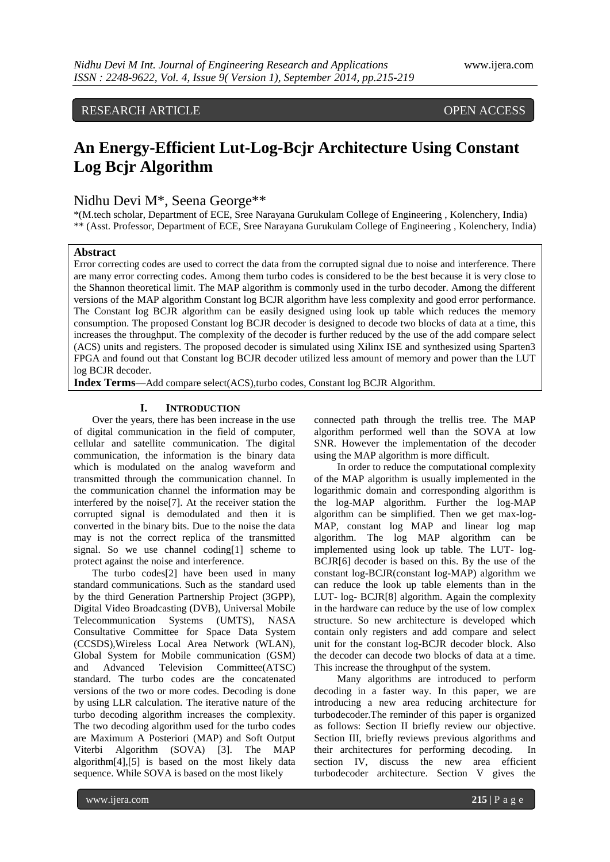RESEARCH ARTICLE OPEN ACCESS

# **An Energy-Efficient Lut-Log-Bcjr Architecture Using Constant Log Bcjr Algorithm**

## Nidhu Devi M\*, Seena George\*\*

\*(M.tech scholar, Department of ECE, Sree Narayana Gurukulam College of Engineering , Kolenchery, India) \*\* (Asst. Professor, Department of ECE, Sree Narayana Gurukulam College of Engineering , Kolenchery, India)

#### **Abstract**

Error correcting codes are used to correct the data from the corrupted signal due to noise and interference. There are many error correcting codes. Among them turbo codes is considered to be the best because it is very close to the Shannon theoretical limit. The MAP algorithm is commonly used in the turbo decoder. Among the different versions of the MAP algorithm Constant log BCJR algorithm have less complexity and good error performance. The Constant log BCJR algorithm can be easily designed using look up table which reduces the memory consumption. The proposed Constant log BCJR decoder is designed to decode two blocks of data at a time, this increases the throughput. The complexity of the decoder is further reduced by the use of the add compare select (ACS) units and registers. The proposed decoder is simulated using Xilinx ISE and synthesized using Sparten3 FPGA and found out that Constant log BCJR decoder utilized less amount of memory and power than the LUT log BCJR decoder.

**Index Terms**—Add compare select(ACS),turbo codes, Constant log BCJR Algorithm.

### **I. INTRODUCTION**

Over the years, there has been increase in the use of digital communication in the field of computer, cellular and satellite communication. The digital communication, the information is the binary data which is modulated on the analog waveform and transmitted through the communication channel. In the communication channel the information may be interfered by the noise[7]. At the receiver station the corrupted signal is demodulated and then it is converted in the binary bits. Due to the noise the data may is not the correct replica of the transmitted signal. So we use channel coding[1] scheme to protect against the noise and interference.

The turbo codes[2] have been used in many standard communications. Such as the standard used by the third Generation Partnership Project (3GPP), Digital Video Broadcasting (DVB), Universal Mobile Telecommunication Systems (UMTS), NASA Consultative Committee for Space Data System (CCSDS),Wireless Local Area Network (WLAN), Global System for Mobile communication (GSM) and Advanced Television Committee(ATSC) standard. The turbo codes are the concatenated versions of the two or more codes. Decoding is done by using LLR calculation. The iterative nature of the turbo decoding algorithm increases the complexity. The two decoding algorithm used for the turbo codes are Maximum A Posteriori (MAP) and Soft Output Viterbi Algorithm (SOVA) [3]. The MAP algorithm[4],[5] is based on the most likely data sequence. While SOVA is based on the most likely

connected path through the trellis tree. The MAP algorithm performed well than the SOVA at low SNR. However the implementation of the decoder using the MAP algorithm is more difficult.

In order to reduce the computational complexity of the MAP algorithm is usually implemented in the logarithmic domain and corresponding algorithm is the log-MAP algorithm. Further the log-MAP algorithm can be simplified. Then we get max-log-MAP, constant log MAP and linear log map algorithm. The log MAP algorithm can be implemented using look up table. The LUT- log-BCJR[6] decoder is based on this. By the use of the constant log-BCJR(constant log-MAP) algorithm we can reduce the look up table elements than in the LUT- log- BCJR[8] algorithm. Again the complexity in the hardware can reduce by the use of low complex structure. So new architecture is developed which contain only registers and add compare and select unit for the constant log-BCJR decoder block. Also the decoder can decode two blocks of data at a time. This increase the throughput of the system.

Many algorithms are introduced to perform decoding in a faster way. In this paper, we are introducing a new area reducing architecture for turbodecoder.The reminder of this paper is organized as follows: Section II briefly review our objective. Section III, briefly reviews previous algorithms and their architectures for performing decoding. In section IV, discuss the new area efficient turbodecoder architecture. Section V gives the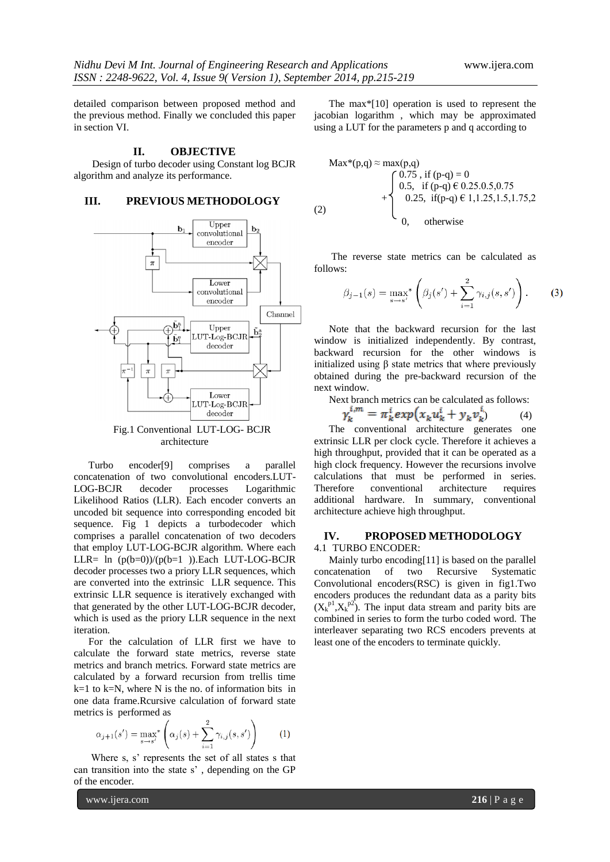detailed comparison between proposed method and the previous method. Finally we concluded this paper in section VI.

#### **II. OBJECTIVE**

Design of turbo decoder using Constant log BCJR algorithm and analyze its performance.

#### **III. PREVIOUS METHODOLOGY**



architecture

Turbo encoder[9] comprises a parallel concatenation of two convolutional encoders.LUT-LOG-BCJR decoder processes Logarithmic Likelihood Ratios (LLR). Each encoder converts an uncoded bit sequence into corresponding encoded bit sequence. Fig 1 depicts a turbodecoder which comprises a parallel concatenation of two decoders that employ LUT-LOG-BCJR algorithm. Where each LLR=  $\ln$  (p(b=0))/(p(b=1)).Each LUT-LOG-BCJR decoder processes two a priory LLR sequences, which are converted into the extrinsic LLR sequence. This extrinsic LLR sequence is iteratively exchanged with that generated by the other LUT-LOG-BCJR decoder, which is used as the priory LLR sequence in the next iteration.

For the calculation of LLR first we have to calculate the forward state metrics, reverse state metrics and branch metrics. Forward state metrics are calculated by a forward recursion from trellis time  $k=1$  to  $k=N$ , where N is the no. of information bits in one data frame.Rcursive calculation of forward state metrics is performed as

$$
\alpha_{j+1}(s') = \max_{s \to s'}^{s} \left( \alpha_j(s) + \sum_{i=1}^{2} \gamma_{i,j}(s, s') \right)
$$
 (1)

Where s, s' represents the set of all states s that can transition into the state s' , depending on the GP of the encoder.

The max\*[10] operation is used to represent the jacobian logarithm , which may be approximated using a LUT for the parameters p and q according to

$$
\text{Max*}(p,q) \approx \max(p,q) \n \begin{cases}\n 0.75, \text{ if } (p-q) = 0 \\
0.5, \text{ if } (p-q) \in 0.25.0.5, 0.75 \\
0.25, \text{ if } (p-q) \in 1, 1.25, 1.5, 1.75, 2 \\
0, \text{ otherwise}\n\end{cases}
$$
\n
$$
(2)
$$

The reverse state metrics can be calculated as follows:

$$
\beta_{j-1}(s) = \max_{s \to s'}^{*} \left( \beta_j(s') + \sum_{i=1}^{2} \gamma_{i,j}(s, s') \right).
$$
 (3)

Note that the backward recursion for the last window is initialized independently. By contrast, backward recursion for the other windows is initialized using  $β$  state metrics that where previously obtained during the pre-backward recursion of the next window.

Next branch metrics can be calculated as follows:

$$
\gamma_k^{i,m} = \pi_k^i \exp(x_k u_k^i + y_k v_k^i) \tag{4}
$$

The conventional architecture generates one extrinsic LLR per clock cycle. Therefore it achieves a high throughput, provided that it can be operated as a high clock frequency. However the recursions involve calculations that must be performed in series. Therefore conventional architecture requires additional hardware. In summary, conventional architecture achieve high throughput.

#### **IV. PROPOSED METHODOLOGY** 4.1 TURBO ENCODER:

Mainly turbo encoding[11] is based on the parallel concatenation of two Recursive Systematic Convolutional encoders(RSC) is given in fig1.Two encoders produces the redundant data as a parity bits  $(X_k^{p1}, X_k^{p2})$ . The input data stream and parity bits are combined in series to form the turbo coded word. The interleaver separating two RCS encoders prevents at least one of the encoders to terminate quickly.

www.ijera.com **216** | P a g e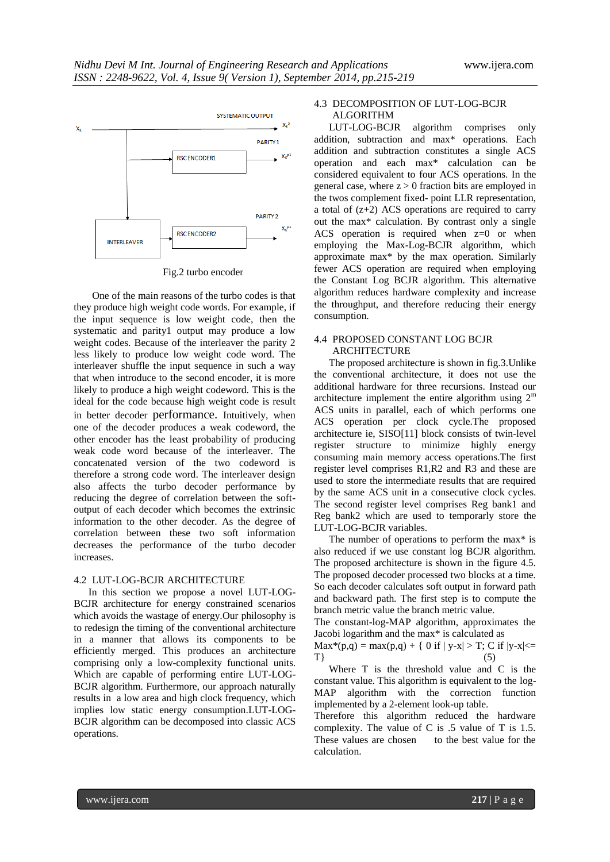

Fig.2 turbo encoder

One of the main reasons of the turbo codes is that they produce high weight code words. For example, if the input sequence is low weight code, then the systematic and parity1 output may produce a low weight codes. Because of the interleaver the parity 2 less likely to produce low weight code word. The interleaver shuffle the input sequence in such a way that when introduce to the second encoder, it is more likely to produce a high weight codeword. This is the ideal for the code because high weight code is result in better decoder performance. Intuitively, when one of the decoder produces a weak codeword, the other encoder has the least probability of producing weak code word because of the interleaver. The concatenated version of the two codeword is therefore a strong code word. The interleaver design also affects the turbo decoder performance by reducing the degree of correlation between the softoutput of each decoder which becomes the extrinsic information to the other decoder. As the degree of correlation between these two soft information decreases the performance of the turbo decoder increases.

#### 4.2 LUT-LOG-BCJR ARCHITECTURE

In this section we propose a novel LUT-LOG-BCJR architecture for energy constrained scenarios which avoids the wastage of energy.Our philosophy is to redesign the timing of the conventional architecture in a manner that allows its components to be efficiently merged. This produces an architecture comprising only a low-complexity functional units. Which are capable of performing entire LUT-LOG-BCJR algorithm. Furthermore, our approach naturally results in a low area and high clock frequency, which implies low static energy consumption.LUT-LOG-BCJR algorithm can be decomposed into classic ACS operations.

#### 4.3 DECOMPOSITION OF LUT-LOG-BCJR ALGORITHM

LUT-LOG-BCJR algorithm comprises only addition, subtraction and max\* operations. Each addition and subtraction constitutes a single ACS operation and each max\* calculation can be considered equivalent to four ACS operations. In the general case, where  $z > 0$  fraction bits are employed in the twos complement fixed- point LLR representation, a total of  $(z+2)$  ACS operations are required to carry out the max\* calculation. By contrast only a single ACS operation is required when  $z=0$  or when employing the Max-Log-BCJR algorithm, which approximate max\* by the max operation. Similarly fewer ACS operation are required when employing the Constant Log BCJR algorithm. This alternative algorithm reduces hardware complexity and increase the throughput, and therefore reducing their energy consumption.

#### 4.4 PROPOSED CONSTANT LOG BCJR ARCHITECTURE

The proposed architecture is shown in fig.3.Unlike the conventional architecture, it does not use the additional hardware for three recursions. Instead our architecture implement the entire algorithm using  $2<sup>m</sup>$ ACS units in parallel, each of which performs one ACS operation per clock cycle.The proposed architecture ie, SISO[11] block consists of twin-level register structure to minimize highly energy consuming main memory access operations.The first register level comprises R1,R2 and R3 and these are used to store the intermediate results that are required by the same ACS unit in a consecutive clock cycles. The second register level comprises Reg bank1 and Reg bank2 which are used to temporarly store the LUT-LOG-BCJR variables.

The number of operations to perform the max\* is also reduced if we use constant log BCJR algorithm. The proposed architecture is shown in the figure 4.5. The proposed decoder processed two blocks at a time. So each decoder calculates soft output in forward path and backward path. The first step is to compute the branch metric value the branch metric value.

The constant-log-MAP algorithm, approximates the Jacobi logarithm and the max\* is calculated as

 $Max^*(p,q) = max(p,q) + \{ 0 \text{ if } |y-x| > T; C \text{ if } |y-x| \leq$  $T$ } (5) Where T is the threshold value and C is the

constant value. This algorithm is equivalent to the log-MAP algorithm with the correction function implemented by a 2-element look-up table.

Therefore this algorithm reduced the hardware complexity. The value of C is .5 value of T is 1.5.<br>These values are chosen to the best value for the These values are chosen calculation.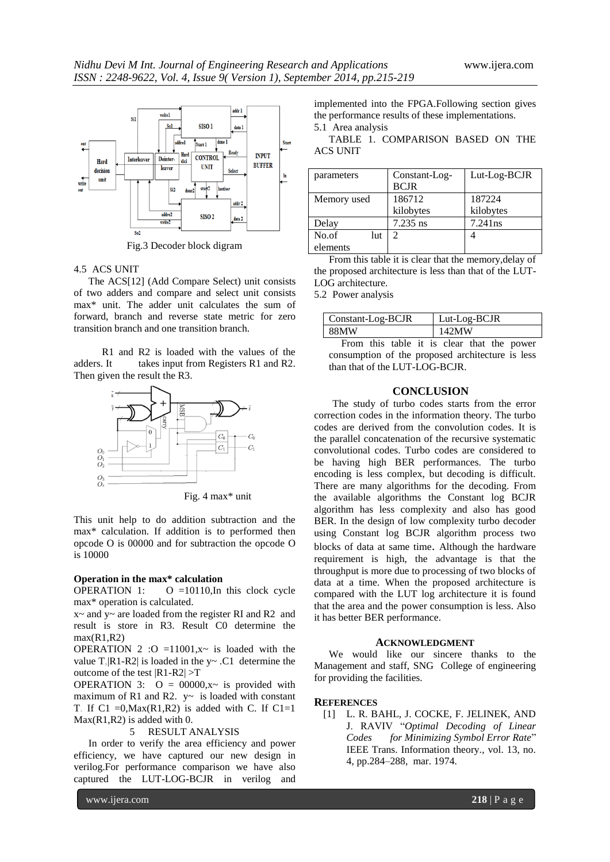

Fig.3 Decoder block digram

#### 4.5 ACS UNIT

The ACS[12] (Add Compare Select) unit consists of two adders and compare and select unit consists max\* unit. The adder unit calculates the sum of forward, branch and reverse state metric for zero transition branch and one transition branch.

 R1 and R2 is loaded with the values of the adders. It takes input from Registers R1 and R2. Then given the result the R3.



Fig. 4 max\* unit

This unit help to do addition subtraction and the max\* calculation. If addition is to performed then opcode O is 00000 and for subtraction the opcode O is 10000

#### **Operation in the max\* calculation**

OPERATION 1:  $O = 10110$ , In this clock cycle max\* operation is calculated.

 $x \sim$  and  $y \sim$  are loaded from the register RI and R2 and result is store in R3. Result C0 determine the  $max(R1,R2)$ 

OPERATION 2 : O = 11001, $x \sim$  is loaded with the value T,  $|R1-R2|$  is loaded in the y~ .C1 determine the outcome of the test |R1-R2| >T

OPERATION 3:  $Q = 00000, x \sim$  is provided with maximum of R1 and R2.  $y \sim$  is loaded with constant T. If C1 = 0, Max $(R1, R2)$  is added with C. If C1 = 1 Max(R1,R2) is added with 0.

#### 5 RESULT ANALYSIS

In order to verify the area efficiency and power efficiency, we have captured our new design in verilog.For performance comparison we have also captured the LUT-LOG-BCJR in verilog and

implemented into the FPGA.Following section gives the performance results of these implementations. 5.1 Area analysis

TABLE 1. COMPARISON BASED ON THE ACS UNIT

| parameters   | Constant-Log-<br><b>BCJR</b> | Lut-Log-BCJR |
|--------------|------------------------------|--------------|
| Memory used  | 186712                       | 187224       |
|              | kilobytes                    | kilobytes    |
| Delay        | $7.235$ ns                   | $7.241$ ns   |
| No.of<br>lut |                              |              |
| elements     |                              |              |

From this table it is clear that the memory,delay of the proposed architecture is less than that of the LUT-LOG architecture.

5.2 Power analysis

| Constant-Log-BCJR | Lut-Log-BCJR |
|-------------------|--------------|
| 88MW              | 142MW        |
|                   |              |

 From this table it is clear that the power consumption of the proposed architecture is less than that of the LUT-LOG-BCJR.

#### **CONCLUSION**

The study of turbo codes starts from the error correction codes in the information theory. The turbo codes are derived from the convolution codes. It is the parallel concatenation of the recursive systematic convolutional codes. Turbo codes are considered to be having high BER performances. The turbo encoding is less complex, but decoding is difficult. There are many algorithms for the decoding. From the available algorithms the Constant log BCJR algorithm has less complexity and also has good BER. In the design of low complexity turbo decoder using Constant log BCJR algorithm process two blocks of data at same time. Although the hardware requirement is high, the advantage is that the throughput is more due to processing of two blocks of data at a time. When the proposed architecture is compared with the LUT log architecture it is found that the area and the power consumption is less. Also it has better BER performance.

#### **ACKNOWLEDGMENT**

We would like our sincere thanks to the Management and staff, SNG College of engineering for providing the facilities.

#### **REFERENCES**

[1] L. R. BAHL, J. COCKE, F. JELINEK, AND J. RAVIV ―*Optimal Decoding of Linear Codes* for Minimizing Symbol Error Rate" IEEE Trans. Information theory., vol. 13, no. 4, pp.284–288, mar. 1974.